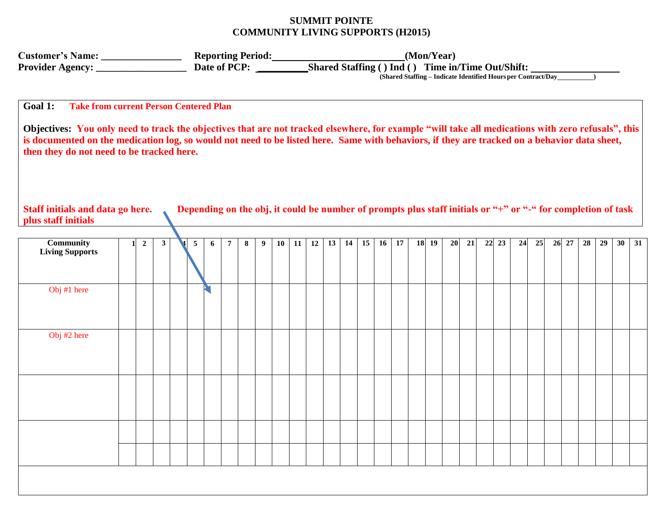## **SUMMIT POINTE COMMUNITY LIVING SUPPORTS (H2015)**

|                                                                                                                                                                                                                                                                                                                                                 |  |                  |              |  |                |   |                |   |   |    |    |    | (Shared Staffing - Indicate Identified Hours per Contract/Day |    |    |    |    |  |           |    |    |    |    |    |    |  |       |                                                                                                              |    |    |    |
|-------------------------------------------------------------------------------------------------------------------------------------------------------------------------------------------------------------------------------------------------------------------------------------------------------------------------------------------------|--|------------------|--------------|--|----------------|---|----------------|---|---|----|----|----|---------------------------------------------------------------|----|----|----|----|--|-----------|----|----|----|----|----|----|--|-------|--------------------------------------------------------------------------------------------------------------|----|----|----|
| Goal 1:<br><b>Take from current Person Centered Plan</b>                                                                                                                                                                                                                                                                                        |  |                  |              |  |                |   |                |   |   |    |    |    |                                                               |    |    |    |    |  |           |    |    |    |    |    |    |  |       |                                                                                                              |    |    |    |
| Objectives: You only need to track the objectives that are not tracked elsewhere, for example "will take all medications with zero refusals", this<br>is documented on the medication log, so would not need to be listed here. Same with behaviors, if they are tracked on a behavior data sheet,<br>then they do not need to be tracked here. |  |                  |              |  |                |   |                |   |   |    |    |    |                                                               |    |    |    |    |  |           |    |    |    |    |    |    |  |       |                                                                                                              |    |    |    |
| Staff initials and data go here.<br>plus staff initials                                                                                                                                                                                                                                                                                         |  |                  |              |  |                |   |                |   |   |    |    |    |                                                               |    |    |    |    |  |           |    |    |    |    |    |    |  |       | Depending on the obj, it could be number of prompts plus staff initials or "+" or "-" for completion of task |    |    |    |
| <b>Community</b><br><b>Living Supports</b>                                                                                                                                                                                                                                                                                                      |  | $\boldsymbol{2}$ | $\mathbf{3}$ |  | $\overline{5}$ | 6 | $\overline{7}$ | 8 | 9 | 10 | 11 | 12 | 13                                                            | 14 | 15 | 16 | 17 |  | $18$   19 | 20 | 21 | 22 | 23 | 24 | 25 |  | 26 27 | 28                                                                                                           | 29 | 30 | 31 |
| Obj #1 here                                                                                                                                                                                                                                                                                                                                     |  |                  |              |  |                |   |                |   |   |    |    |    |                                                               |    |    |    |    |  |           |    |    |    |    |    |    |  |       |                                                                                                              |    |    |    |
| Obj #2 here                                                                                                                                                                                                                                                                                                                                     |  |                  |              |  |                |   |                |   |   |    |    |    |                                                               |    |    |    |    |  |           |    |    |    |    |    |    |  |       |                                                                                                              |    |    |    |
|                                                                                                                                                                                                                                                                                                                                                 |  |                  |              |  |                |   |                |   |   |    |    |    |                                                               |    |    |    |    |  |           |    |    |    |    |    |    |  |       |                                                                                                              |    |    |    |
|                                                                                                                                                                                                                                                                                                                                                 |  |                  |              |  |                |   |                |   |   |    |    |    |                                                               |    |    |    |    |  |           |    |    |    |    |    |    |  |       |                                                                                                              |    |    |    |
|                                                                                                                                                                                                                                                                                                                                                 |  |                  |              |  |                |   |                |   |   |    |    |    |                                                               |    |    |    |    |  |           |    |    |    |    |    |    |  |       |                                                                                                              |    |    |    |